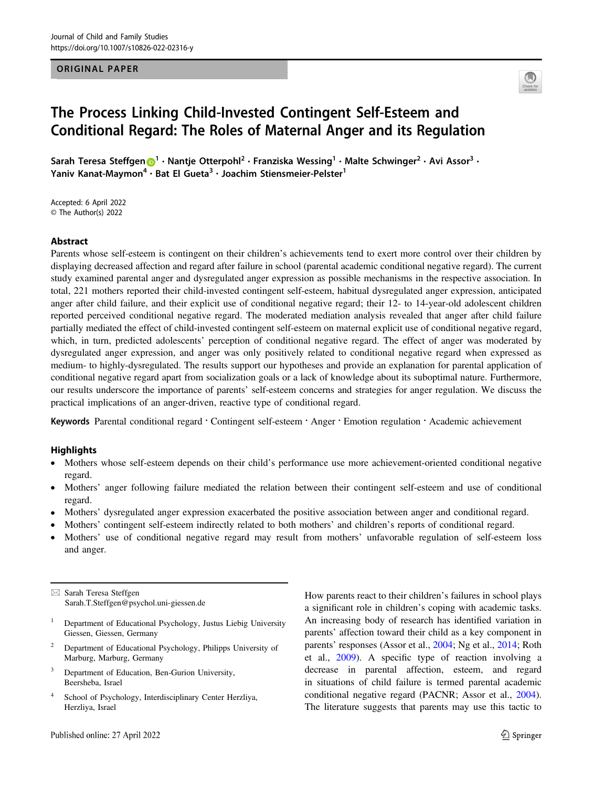# ORIGINAL PAPER



# The Process Linking Child-Invested Contingent Self-Esteem and Conditional Regard: The Roles of Maternal Anger and its Regulation

Sarah Teresa Steffge[n](http://orcid.org/0000-0003-4965-8156) [1](http://orcid.org/0000-0003-4965-8156) ● Nantje Otterpohl<sup>2</sup> ● Franziska Wessing1 ● waite schwinger • Avi Assor •<br>' raniv Kanat-Maymon • Bat El Gueta<sup>s</sup> • Joachim Stiensmeier-Pelster<sup>-</sup>

Accepted: 6 April 2022 © The Author(s) 2022

## Abstract

Parents whose self-esteem is contingent on their children's achievements tend to exert more control over their children by displaying decreased affection and regard after failure in school (parental academic conditional negative regard). The current study examined parental anger and dysregulated anger expression as possible mechanisms in the respective association. In total, 221 mothers reported their child-invested contingent self-esteem, habitual dysregulated anger expression, anticipated anger after child failure, and their explicit use of conditional negative regard; their 12- to 14-year-old adolescent children reported perceived conditional negative regard. The moderated mediation analysis revealed that anger after child failure partially mediated the effect of child-invested contingent self-esteem on maternal explicit use of conditional negative regard, which, in turn, predicted adolescents' perception of conditional negative regard. The effect of anger was moderated by dysregulated anger expression, and anger was only positively related to conditional negative regard when expressed as medium- to highly-dysregulated. The results support our hypotheses and provide an explanation for parental application of conditional negative regard apart from socialization goals or a lack of knowledge about its suboptimal nature. Furthermore, our results underscore the importance of parents' self-esteem concerns and strategies for anger regulation. We discuss the practical implications of an anger-driven, reactive type of conditional regard.

Keywords Parental conditional regard · Contingent self-esteem · Anger · Emotion regulation · Academic achievement

## **Highlights**

- Mothers whose self-esteem depends on their child's performance use more achievement-oriented conditional negative regard.
- Mothers' anger following failure mediated the relation between their contingent self-esteem and use of conditional regard.
- Mothers' dysregulated anger expression exacerbated the positive association between anger and conditional regard.
- Mothers' contingent self-esteem indirectly related to both mothers' and children's reports of conditional regard.
- Mothers' use of conditional negative regard may result from mothers' unfavorable regulation of self-esteem loss and anger.

 $\boxtimes$  Sarah Teresa Steffgen [Sarah.T.Steffgen@psychol.uni-giessen.de](mailto:Sarah.T.Steffgen@psychol.uni-giessen.de)

- <sup>1</sup> Department of Educational Psychology, Justus Liebig University Giessen, Giessen, Germany
- <sup>2</sup> Department of Educational Psychology, Philipps University of Marburg, Marburg, Germany
- <sup>3</sup> Department of Education, Ben-Gurion University, Beersheba, Israel
- <sup>4</sup> School of Psychology, Interdisciplinary Center Herzliya, Herzliya, Israel

How parents react to their children's failures in school plays a significant role in children's coping with academic tasks. An increasing body of research has identified variation in parents' affection toward their child as a key component in parents' responses (Assor et al., [2004;](#page-9-0) Ng et al., [2014;](#page-10-0) Roth et al., [2009\)](#page-11-0). A specific type of reaction involving a decrease in parental affection, esteem, and regard in situations of child failure is termed parental academic conditional negative regard (PACNR; Assor et al., [2004\)](#page-9-0). The literature suggests that parents may use this tactic to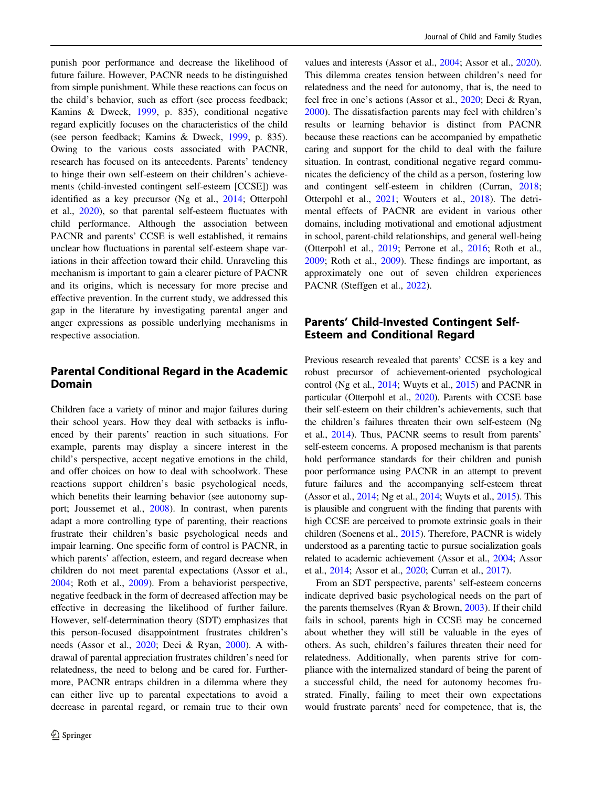punish poor performance and decrease the likelihood of future failure. However, PACNR needs to be distinguished from simple punishment. While these reactions can focus on the child's behavior, such as effort (see process feedback; Kamins & Dweck, [1999](#page-10-0), p. 835), conditional negative regard explicitly focuses on the characteristics of the child (see person feedback; Kamins & Dweck, [1999,](#page-10-0) p. 835). Owing to the various costs associated with PACNR, research has focused on its antecedents. Parents' tendency to hinge their own self-esteem on their children's achievements (child-invested contingent self-esteem [CCSE]) was identified as a key precursor (Ng et al., [2014;](#page-10-0) Otterpohl et al., [2020\)](#page-10-0), so that parental self-esteem fluctuates with child performance. Although the association between PACNR and parents' CCSE is well established, it remains unclear how fluctuations in parental self-esteem shape variations in their affection toward their child. Unraveling this mechanism is important to gain a clearer picture of PACNR and its origins, which is necessary for more precise and effective prevention. In the current study, we addressed this gap in the literature by investigating parental anger and anger expressions as possible underlying mechanisms in respective association.

# Parental Conditional Regard in the Academic Domain

Children face a variety of minor and major failures during their school years. How they deal with setbacks is influenced by their parents' reaction in such situations. For example, parents may display a sincere interest in the child's perspective, accept negative emotions in the child, and offer choices on how to deal with schoolwork. These reactions support children's basic psychological needs, which benefits their learning behavior (see autonomy support; Joussemet et al., [2008](#page-10-0)). In contrast, when parents adapt a more controlling type of parenting, their reactions frustrate their children's basic psychological needs and impair learning. One specific form of control is PACNR, in which parents' affection, esteem, and regard decrease when children do not meet parental expectations (Assor et al., [2004;](#page-9-0) Roth et al., [2009](#page-11-0)). From a behaviorist perspective, negative feedback in the form of decreased affection may be effective in decreasing the likelihood of further failure. However, self-determination theory (SDT) emphasizes that this person-focused disappointment frustrates children's needs (Assor et al., [2020;](#page-9-0) Deci & Ryan, [2000\)](#page-10-0). A withdrawal of parental appreciation frustrates children's need for relatedness, the need to belong and be cared for. Furthermore, PACNR entraps children in a dilemma where they can either live up to parental expectations to avoid a decrease in parental regard, or remain true to their own

values and interests (Assor et al., [2004;](#page-9-0) Assor et al., [2020\)](#page-9-0). This dilemma creates tension between children's need for relatedness and the need for autonomy, that is, the need to feel free in one's actions (Assor et al., [2020;](#page-9-0) Deci & Ryan, [2000](#page-10-0)). The dissatisfaction parents may feel with children's results or learning behavior is distinct from PACNR because these reactions can be accompanied by empathetic caring and support for the child to deal with the failure situation. In contrast, conditional negative regard communicates the deficiency of the child as a person, fostering low and contingent self-esteem in children (Curran, [2018;](#page-9-0) Otterpohl et al., [2021;](#page-10-0) Wouters et al., [2018](#page-11-0)). The detrimental effects of PACNR are evident in various other domains, including motivational and emotional adjustment in school, parent-child relationships, and general well-being (Otterpohl et al., [2019;](#page-10-0) Perrone et al., [2016;](#page-10-0) Roth et al., [2009](#page-11-0); Roth et al., [2009\)](#page-11-0). These findings are important, as approximately one out of seven children experiences PACNR (Steffgen et al., [2022](#page-11-0)).

# Parents' Child-Invested Contingent Self-Esteem and Conditional Regard

Previous research revealed that parents' CCSE is a key and robust precursor of achievement-oriented psychological control (Ng et al., [2014](#page-10-0); Wuyts et al., [2015\)](#page-11-0) and PACNR in particular (Otterpohl et al., [2020](#page-10-0)). Parents with CCSE base their self-esteem on their children's achievements, such that the children's failures threaten their own self-esteem (Ng et al., [2014\)](#page-10-0). Thus, PACNR seems to result from parents' self-esteem concerns. A proposed mechanism is that parents hold performance standards for their children and punish poor performance using PACNR in an attempt to prevent future failures and the accompanying self-esteem threat (Assor et al., [2014](#page-9-0); Ng et al., [2014;](#page-10-0) Wuyts et al., [2015\)](#page-11-0). This is plausible and congruent with the finding that parents with high CCSE are perceived to promote extrinsic goals in their children (Soenens et al., [2015](#page-11-0)). Therefore, PACNR is widely understood as a parenting tactic to pursue socialization goals related to academic achievement (Assor et al., [2004](#page-9-0); Assor et al., [2014;](#page-9-0) Assor et al., [2020](#page-9-0); Curran et al., [2017](#page-9-0)).

From an SDT perspective, parents' self-esteem concerns indicate deprived basic psychological needs on the part of the parents themselves (Ryan & Brown, [2003\)](#page-11-0). If their child fails in school, parents high in CCSE may be concerned about whether they will still be valuable in the eyes of others. As such, children's failures threaten their need for relatedness. Additionally, when parents strive for compliance with the internalized standard of being the parent of a successful child, the need for autonomy becomes frustrated. Finally, failing to meet their own expectations would frustrate parents' need for competence, that is, the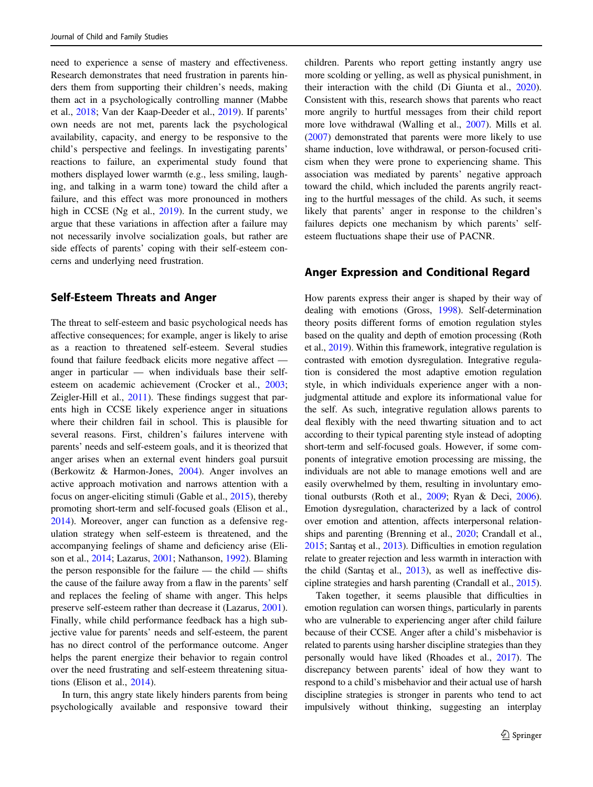need to experience a sense of mastery and effectiveness. Research demonstrates that need frustration in parents hinders them from supporting their children's needs, making them act in a psychologically controlling manner (Mabbe et al., [2018](#page-10-0); Van der Kaap-Deeder et al., [2019\)](#page-11-0). If parents' own needs are not met, parents lack the psychological availability, capacity, and energy to be responsive to the child's perspective and feelings. In investigating parents' reactions to failure, an experimental study found that mothers displayed lower warmth (e.g., less smiling, laughing, and talking in a warm tone) toward the child after a failure, and this effect was more pronounced in mothers high in CCSE (Ng et al., [2019\)](#page-10-0). In the current study, we argue that these variations in affection after a failure may not necessarily involve socialization goals, but rather are side effects of parents' coping with their self-esteem concerns and underlying need frustration.

# Self-Esteem Threats and Anger

The threat to self-esteem and basic psychological needs has affective consequences; for example, anger is likely to arise as a reaction to threatened self-esteem. Several studies found that failure feedback elicits more negative affect anger in particular — when individuals base their selfesteem on academic achievement (Crocker et al., [2003](#page-9-0); Zeigler-Hill et al., [2011](#page-11-0)). These findings suggest that parents high in CCSE likely experience anger in situations where their children fail in school. This is plausible for several reasons. First, children's failures intervene with parents' needs and self-esteem goals, and it is theorized that anger arises when an external event hinders goal pursuit (Berkowitz & Harmon-Jones, [2004\)](#page-9-0). Anger involves an active approach motivation and narrows attention with a focus on anger-eliciting stimuli (Gable et al., [2015](#page-10-0)), thereby promoting short-term and self-focused goals (Elison et al., [2014\)](#page-10-0). Moreover, anger can function as a defensive regulation strategy when self-esteem is threatened, and the accompanying feelings of shame and deficiency arise (Elison et al., [2014;](#page-10-0) Lazarus, [2001;](#page-10-0) Nathanson, [1992\)](#page-10-0). Blaming the person responsible for the failure — the child — shifts the cause of the failure away from a flaw in the parents' self and replaces the feeling of shame with anger. This helps preserve self-esteem rather than decrease it (Lazarus, [2001](#page-10-0)). Finally, while child performance feedback has a high subjective value for parents' needs and self-esteem, the parent has no direct control of the performance outcome. Anger helps the parent energize their behavior to regain control over the need frustrating and self-esteem threatening situations (Elison et al., [2014](#page-10-0)).

In turn, this angry state likely hinders parents from being psychologically available and responsive toward their

children. Parents who report getting instantly angry use more scolding or yelling, as well as physical punishment, in their interaction with the child (Di Giunta et al., [2020\)](#page-10-0). Consistent with this, research shows that parents who react more angrily to hurtful messages from their child report more love withdrawal (Walling et al., [2007](#page-11-0)). Mills et al. [\(2007](#page-10-0)) demonstrated that parents were more likely to use shame induction, love withdrawal, or person-focused criticism when they were prone to experiencing shame. This association was mediated by parents' negative approach toward the child, which included the parents angrily reacting to the hurtful messages of the child. As such, it seems likely that parents' anger in response to the children's failures depicts one mechanism by which parents' selfesteem fluctuations shape their use of PACNR.

## Anger Expression and Conditional Regard

How parents express their anger is shaped by their way of dealing with emotions (Gross, [1998\)](#page-10-0). Self-determination theory posits different forms of emotion regulation styles based on the quality and depth of emotion processing (Roth et al., [2019\)](#page-11-0). Within this framework, integrative regulation is contrasted with emotion dysregulation. Integrative regulation is considered the most adaptive emotion regulation style, in which individuals experience anger with a nonjudgmental attitude and explore its informational value for the self. As such, integrative regulation allows parents to deal flexibly with the need thwarting situation and to act according to their typical parenting style instead of adopting short-term and self-focused goals. However, if some components of integrative emotion processing are missing, the individuals are not able to manage emotions well and are easily overwhelmed by them, resulting in involuntary emotional outbursts (Roth et al., [2009](#page-11-0); Ryan & Deci, [2006\)](#page-11-0). Emotion dysregulation, characterized by a lack of control over emotion and attention, affects interpersonal relationships and parenting (Brenning et al., [2020;](#page-9-0) Crandall et al., [2015;](#page-9-0) Sarıtaş et al., [2013\)](#page-11-0). Difficulties in emotion regulation relate to greater rejection and less warmth in interaction with the child (Sarıtaş et al., [2013\)](#page-11-0), as well as ineffective discipline strategies and harsh parenting (Crandall et al., [2015\)](#page-9-0).

Taken together, it seems plausible that difficulties in emotion regulation can worsen things, particularly in parents who are vulnerable to experiencing anger after child failure because of their CCSE. Anger after a child's misbehavior is related to parents using harsher discipline strategies than they personally would have liked (Rhoades et al., [2017\)](#page-10-0). The discrepancy between parents' ideal of how they want to respond to a child's misbehavior and their actual use of harsh discipline strategies is stronger in parents who tend to act impulsively without thinking, suggesting an interplay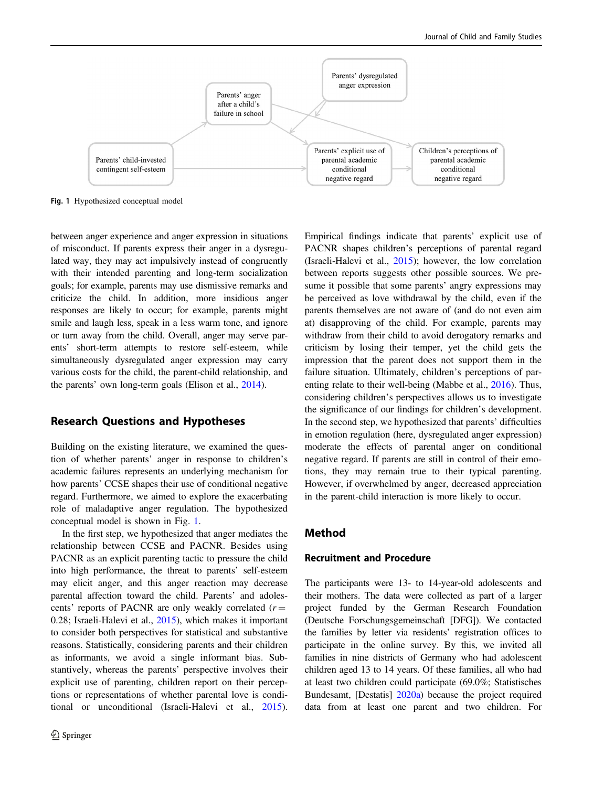

Fig. 1 Hypothesized conceptual model

between anger experience and anger expression in situations of misconduct. If parents express their anger in a dysregulated way, they may act impulsively instead of congruently with their intended parenting and long-term socialization goals; for example, parents may use dismissive remarks and criticize the child. In addition, more insidious anger responses are likely to occur; for example, parents might smile and laugh less, speak in a less warm tone, and ignore or turn away from the child. Overall, anger may serve parents' short-term attempts to restore self-esteem, while simultaneously dysregulated anger expression may carry various costs for the child, the parent-child relationship, and the parents' own long-term goals (Elison et al., [2014](#page-10-0)).

## Research Questions and Hypotheses

Building on the existing literature, we examined the question of whether parents' anger in response to children's academic failures represents an underlying mechanism for how parents' CCSE shapes their use of conditional negative regard. Furthermore, we aimed to explore the exacerbating role of maladaptive anger regulation. The hypothesized conceptual model is shown in Fig. 1.

In the first step, we hypothesized that anger mediates the relationship between CCSE and PACNR. Besides using PACNR as an explicit parenting tactic to pressure the child into high performance, the threat to parents' self-esteem may elicit anger, and this anger reaction may decrease parental affection toward the child. Parents' and adolescents' reports of PACNR are only weakly correlated  $(r =$ 0.28; Israeli-Halevi et al., [2015](#page-10-0)), which makes it important to consider both perspectives for statistical and substantive reasons. Statistically, considering parents and their children as informants, we avoid a single informant bias. Substantively, whereas the parents' perspective involves their explicit use of parenting, children report on their perceptions or representations of whether parental love is conditional or unconditional (Israeli-Halevi et al., [2015](#page-10-0)). Empirical findings indicate that parents' explicit use of PACNR shapes children's perceptions of parental regard (Israeli-Halevi et al., [2015](#page-10-0)); however, the low correlation between reports suggests other possible sources. We presume it possible that some parents' angry expressions may be perceived as love withdrawal by the child, even if the parents themselves are not aware of (and do not even aim at) disapproving of the child. For example, parents may withdraw from their child to avoid derogatory remarks and criticism by losing their temper, yet the child gets the impression that the parent does not support them in the failure situation. Ultimately, children's perceptions of parenting relate to their well-being (Mabbe et al., [2016](#page-10-0)). Thus, considering children's perspectives allows us to investigate the significance of our findings for children's development. In the second step, we hypothesized that parents' difficulties in emotion regulation (here, dysregulated anger expression) moderate the effects of parental anger on conditional negative regard. If parents are still in control of their emotions, they may remain true to their typical parenting. However, if overwhelmed by anger, decreased appreciation in the parent-child interaction is more likely to occur.

# Method

## Recruitment and Procedure

The participants were 13- to 14-year-old adolescents and their mothers. The data were collected as part of a larger project funded by the German Research Foundation (Deutsche Forschungsgemeinschaft [DFG]). We contacted the families by letter via residents' registration offices to participate in the online survey. By this, we invited all families in nine districts of Germany who had adolescent children aged 13 to 14 years. Of these families, all who had at least two children could participate (69.0%; Statistisches Bundesamt, [Destatis] [2020a](#page-11-0)) because the project required data from at least one parent and two children. For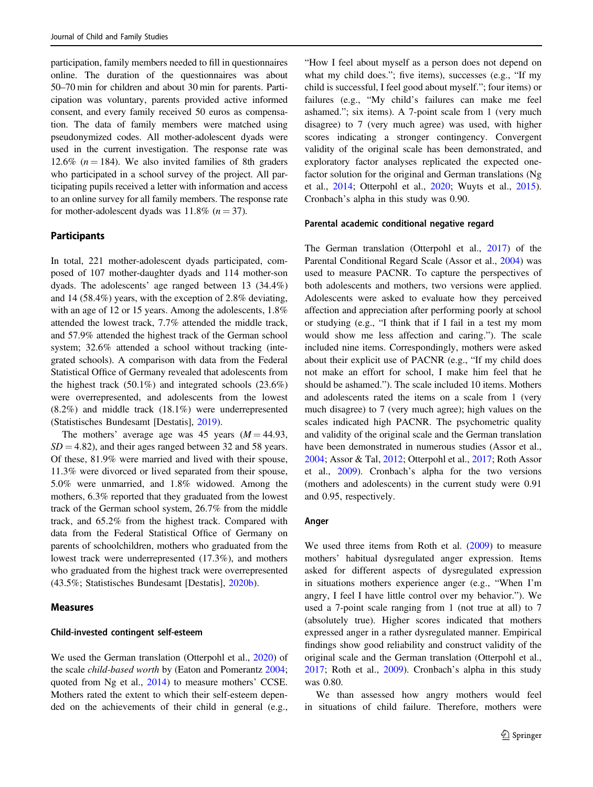participation, family members needed to fill in questionnaires online. The duration of the questionnaires was about 50–70 min for children and about 30 min for parents. Participation was voluntary, parents provided active informed consent, and every family received 50 euros as compensation. The data of family members were matched using pseudonymized codes. All mother-adolescent dyads were used in the current investigation. The response rate was 12.6% ( $n = 184$ ). We also invited families of 8th graders who participated in a school survey of the project. All participating pupils received a letter with information and access to an online survey for all family members. The response rate for mother-adolescent dyads was  $11.8\%$  ( $n = 37$ ).

## Participants

In total, 221 mother-adolescent dyads participated, composed of 107 mother-daughter dyads and 114 mother-son dyads. The adolescents' age ranged between 13 (34.4%) and 14 (58.4%) years, with the exception of 2.8% deviating, with an age of 12 or 15 years. Among the adolescents, 1.8% attended the lowest track, 7.7% attended the middle track, and 57.9% attended the highest track of the German school system; 32.6% attended a school without tracking (integrated schools). A comparison with data from the Federal Statistical Office of Germany revealed that adolescents from the highest track (50.1%) and integrated schools (23.6%) were overrepresented, and adolescents from the lowest (8.2%) and middle track (18.1%) were underrepresented (Statistisches Bundesamt [Destatis], [2019](#page-11-0)).

The mothers' average age was 45 years  $(M = 44.93,$  $SD = 4.82$ , and their ages ranged between 32 and 58 years. Of these, 81.9% were married and lived with their spouse, 11.3% were divorced or lived separated from their spouse, 5.0% were unmarried, and 1.8% widowed. Among the mothers, 6.3% reported that they graduated from the lowest track of the German school system, 26.7% from the middle track, and 65.2% from the highest track. Compared with data from the Federal Statistical Office of Germany on parents of schoolchildren, mothers who graduated from the lowest track were underrepresented (17.3%), and mothers who graduated from the highest track were overrepresented (43.5%; Statistisches Bundesamt [Destatis], [2020b\)](#page-11-0).

#### Measures

#### Child-invested contingent self-esteem

We used the German translation (Otterpohl et al., [2020](#page-10-0)) of the scale *child-based worth* by (Eaton and Pomerantz [2004](#page-10-0); quoted from Ng et al., [2014\)](#page-10-0) to measure mothers' CCSE. Mothers rated the extent to which their self-esteem depended on the achievements of their child in general (e.g.,

"How I feel about myself as a person does not depend on what my child does."; five items), successes (e.g., "If my child is successful, I feel good about myself."; four items) or failures (e.g., "My child's failures can make me feel ashamed."; six items). A 7-point scale from 1 (very much disagree) to 7 (very much agree) was used, with higher scores indicating a stronger contingency. Convergent validity of the original scale has been demonstrated, and exploratory factor analyses replicated the expected onefactor solution for the original and German translations (Ng et al., [2014](#page-10-0); Otterpohl et al., [2020](#page-10-0); Wuyts et al., [2015\)](#page-11-0). Cronbach's alpha in this study was 0.90.

#### Parental academic conditional negative regard

The German translation (Otterpohl et al., [2017](#page-10-0)) of the Parental Conditional Regard Scale (Assor et al., [2004](#page-9-0)) was used to measure PACNR. To capture the perspectives of both adolescents and mothers, two versions were applied. Adolescents were asked to evaluate how they perceived affection and appreciation after performing poorly at school or studying (e.g., "I think that if I fail in a test my mom would show me less affection and caring."). The scale included nine items. Correspondingly, mothers were asked about their explicit use of PACNR (e.g., "If my child does not make an effort for school, I make him feel that he should be ashamed."). The scale included 10 items. Mothers and adolescents rated the items on a scale from 1 (very much disagree) to 7 (very much agree); high values on the scales indicated high PACNR. The psychometric quality and validity of the original scale and the German translation have been demonstrated in numerous studies (Assor et al., [2004](#page-9-0); Assor & Tal, [2012;](#page-9-0) Otterpohl et al., [2017](#page-10-0); Roth Assor et al., [2009\)](#page-11-0). Cronbach's alpha for the two versions (mothers and adolescents) in the current study were 0.91 and 0.95, respectively.

#### Anger

We used three items from Roth et al. ([2009\)](#page-11-0) to measure mothers' habitual dysregulated anger expression. Items asked for different aspects of dysregulated expression in situations mothers experience anger (e.g., "When I'm angry, I feel I have little control over my behavior."). We used a 7-point scale ranging from 1 (not true at all) to 7 (absolutely true). Higher scores indicated that mothers expressed anger in a rather dysregulated manner. Empirical findings show good reliability and construct validity of the original scale and the German translation (Otterpohl et al., [2017](#page-10-0); Roth et al., [2009](#page-11-0)). Cronbach's alpha in this study was 0.80.

We than assessed how angry mothers would feel in situations of child failure. Therefore, mothers were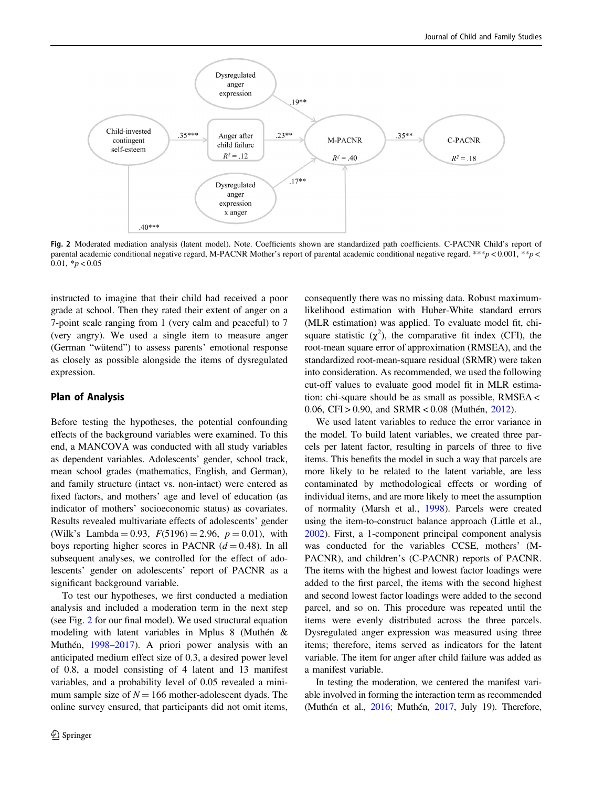<span id="page-5-0"></span>

Fig. 2 Moderated mediation analysis (latent model). Note. Coefficients shown are standardized path coefficients. C-PACNR Child's report of parental academic conditional negative regard, M-PACNR Mother's report of parental academic conditional negative regard. \*\*\*p < 0.001, \*\*p < 0.01,  $\frac{*}{p}$  < 0.05

instructed to imagine that their child had received a poor grade at school. Then they rated their extent of anger on a 7-point scale ranging from 1 (very calm and peaceful) to 7 (very angry). We used a single item to measure anger (German "wütend") to assess parents' emotional response as closely as possible alongside the items of dysregulated expression.

# Plan of Analysis

Before testing the hypotheses, the potential confounding effects of the background variables were examined. To this end, a MANCOVA was conducted with all study variables as dependent variables. Adolescents' gender, school track, mean school grades (mathematics, English, and German), and family structure (intact vs. non-intact) were entered as fixed factors, and mothers' age and level of education (as indicator of mothers' socioeconomic status) as covariates. Results revealed multivariate effects of adolescents' gender (Wilk's Lambda = 0.93,  $F(5196) = 2.96$ ,  $p = 0.01$ ), with boys reporting higher scores in PACNR  $(d = 0.48)$ . In all subsequent analyses, we controlled for the effect of adolescents' gender on adolescents' report of PACNR as a significant background variable.

To test our hypotheses, we first conducted a mediation analysis and included a moderation term in the next step (see Fig. 2 for our final model). We used structural equation modeling with latent variables in Mplus 8 (Muthén & Muthén, [1998](#page-10-0)–[2017](#page-10-0)). A priori power analysis with an anticipated medium effect size of 0.3, a desired power level of 0.8, a model consisting of 4 latent and 13 manifest variables, and a probability level of 0.05 revealed a minimum sample size of  $N = 166$  mother-adolescent dyads. The online survey ensured, that participants did not omit items,

consequently there was no missing data. Robust maximumlikelihood estimation with Huber-White standard errors (MLR estimation) was applied. To evaluate model fit, chisquare statistic  $(\chi^2)$ , the comparative fit index (CFI), the root-mean square error of approximation (RMSEA), and the standardized root-mean-square residual (SRMR) were taken into consideration. As recommended, we used the following cut-off values to evaluate good model fit in MLR estimation: chi-square should be as small as possible, RMSEA < 0.06, CFI > 0.90, and SRMR <  $0.08$  (Muthén, [2012](#page-10-0)).

We used latent variables to reduce the error variance in the model. To build latent variables, we created three parcels per latent factor, resulting in parcels of three to five items. This benefits the model in such a way that parcels are more likely to be related to the latent variable, are less contaminated by methodological effects or wording of individual items, and are more likely to meet the assumption of normality (Marsh et al., [1998\)](#page-10-0). Parcels were created using the item‐to‐construct balance approach (Little et al., [2002](#page-10-0)). First, a 1-component principal component analysis was conducted for the variables CCSE, mothers' (M-PACNR), and children's (C-PACNR) reports of PACNR. The items with the highest and lowest factor loadings were added to the first parcel, the items with the second highest and second lowest factor loadings were added to the second parcel, and so on. This procedure was repeated until the items were evenly distributed across the three parcels. Dysregulated anger expression was measured using three items; therefore, items served as indicators for the latent variable. The item for anger after child failure was added as a manifest variable.

In testing the moderation, we centered the manifest variable involved in forming the interaction term as recommended (Muthén et al., [2016;](#page-10-0) Muthén, [2017,](#page-10-0) July 19). Therefore,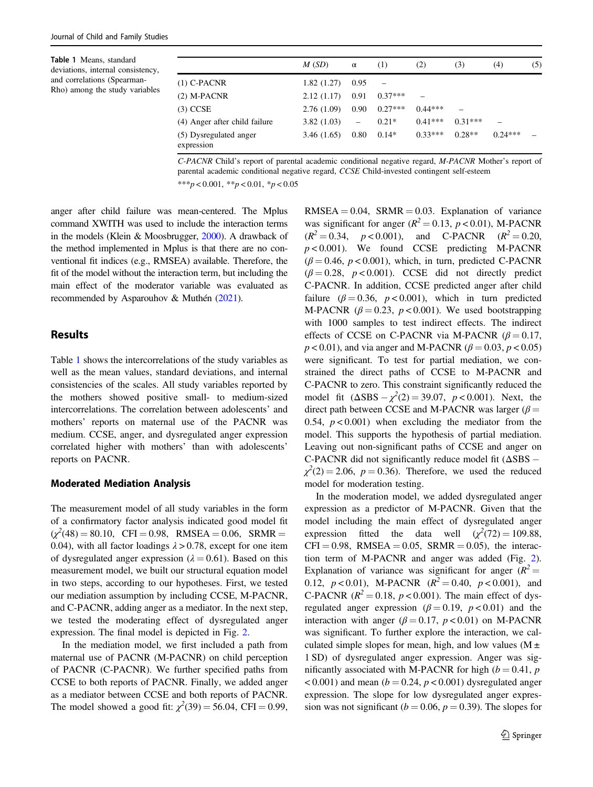Table 1 Means, standard deviations, internal consistency, and correlations (Spearman-Rho) among the study variables

|                                      | M(SD)      | $\alpha$          | (1)       | (2)       | (3)       | (4)       | (5) |
|--------------------------------------|------------|-------------------|-----------|-----------|-----------|-----------|-----|
| $(1)$ C-PACNR                        | 1.82(1.27) | 0.95              |           |           |           |           |     |
| $(2)$ M-PACNR                        | 2.12(1.17) | 0.91              | $0.37***$ |           |           |           |     |
| $(3)$ CCSE                           | 2.76(1.09) | 0.90              | $0.27***$ | $0.44***$ |           |           |     |
| (4) Anger after child failure        | 3.82(1.03) | $\qquad \qquad -$ | $0.21*$   | $0.41***$ | $0.31***$ | -         |     |
| (5) Dysregulated anger<br>expression | 3.46(1.65) | 0.80              | $0.14*$   | $0.33***$ | $0.28**$  | $0.24***$ |     |

C-PACNR Child's report of parental academic conditional negative regard, M-PACNR Mother's report of parental academic conditional negative regard, CCSE Child-invested contingent self-esteem

\*\*\*p < 0.001, \*\*p < 0.01, \*p < 0.05

anger after child failure was mean-centered. The Mplus command XWITH was used to include the interaction terms in the models (Klein & Moosbrugger, [2000\)](#page-10-0). A drawback of the method implemented in Mplus is that there are no conventional fit indices (e.g., RMSEA) available. Therefore, the fit of the model without the interaction term, but including the main effect of the moderator variable was evaluated as recommended by Asparouhov & Muthén [\(2021\)](#page-9-0).

## Results

Table 1 shows the intercorrelations of the study variables as well as the mean values, standard deviations, and internal consistencies of the scales. All study variables reported by the mothers showed positive small- to medium-sized intercorrelations. The correlation between adolescents' and mothers' reports on maternal use of the PACNR was medium. CCSE, anger, and dysregulated anger expression correlated higher with mothers' than with adolescents' reports on PACNR.

## Moderated Mediation Analysis

The measurement model of all study variables in the form of a confirmatory factor analysis indicated good model fit  $(\chi^2(48) = 80.10, \text{ CFI} = 0.98, \text{ RMSEA} = 0.06, \text{ SRMR} =$ 0.04), with all factor loadings  $\lambda > 0.78$ , except for one item of dysregulated anger expression ( $\lambda = 0.61$ ). Based on this measurement model, we built our structural equation model in two steps, according to our hypotheses. First, we tested our mediation assumption by including CCSE, M-PACNR, and C-PACNR, adding anger as a mediator. In the next step, we tested the moderating effect of dysregulated anger expression. The final model is depicted in Fig. [2.](#page-5-0)

In the mediation model, we first included a path from maternal use of PACNR (M-PACNR) on child perception of PACNR (C-PACNR). We further specified paths from CCSE to both reports of PACNR. Finally, we added anger as a mediator between CCSE and both reports of PACNR. The model showed a good fit:  $\chi^2(39) = 56.04$ , CFI = 0.99,

 $RMSEA = 0.04$ ,  $SRMR = 0.03$ . Explanation of variance was significant for anger  $(R^2 = 0.13, p < 0.01)$ , M-PACNR  $(R^2 = 0.34, p < 0.001)$ , and C-PACNR  $(R^2 = 0.20,$  $p < 0.001$ ). We found CCSE predicting M-PACNR  $(\beta = 0.46, p < 0.001)$ , which, in turn, predicted C-PACNR  $(\beta = 0.28, p < 0.001)$ . CCSE did not directly predict C-PACNR. In addition, CCSE predicted anger after child failure ( $\beta = 0.36$ ,  $p < 0.001$ ), which in turn predicted M-PACNR ( $\beta = 0.23$ ,  $p < 0.001$ ). We used bootstrapping with 1000 samples to test indirect effects. The indirect effects of CCSE on C-PACNR via M-PACNR ( $\beta = 0.17$ ,  $p < 0.01$ ), and via anger and M-PACNR ( $\beta = 0.03$ ,  $p < 0.05$ ) were significant. To test for partial mediation, we constrained the direct paths of CCSE to M-PACNR and C-PACNR to zero. This constraint significantly reduced the model fit  $(\Delta SBS - \chi^2(2) = 39.07, p < 0.001)$ . Next, the direct path between CCSE and M-PACNR was larger ( $\beta$  = 0.54,  $p < 0.001$ ) when excluding the mediator from the model. This supports the hypothesis of partial mediation. Leaving out non-significant paths of CCSE and anger on C-PACNR did not significantly reduce model fit  $(ΔSBS –$  $\chi^2(2) = 2.06$ ,  $p = 0.36$ ). Therefore, we used the reduced model for moderation testing.

In the moderation model, we added dysregulated anger expression as a predictor of M-PACNR. Given that the model including the main effect of dysregulated anger expression fitted the data well  $(\chi^2(72) = 109.88,$  $CFI = 0.98$ , RMSEA = 0.05, SRMR = 0.05), the interaction term of M-PACNR and anger was added (Fig. [2\)](#page-5-0). Explanation of variance was significant for anger  $(R^2 =$ 0.12,  $p < 0.01$ ), M-PACNR ( $R^2 = 0.40$ ,  $p < 0.001$ ), and C-PACNR ( $R^2 = 0.18$ ,  $p < 0.001$ ). The main effect of dysregulated anger expression ( $\beta = 0.19$ ,  $p < 0.01$ ) and the interaction with anger ( $\beta = 0.17$ ,  $p < 0.01$ ) on M-PACNR was significant. To further explore the interaction, we calculated simple slopes for mean, high, and low values ( $M \pm$ 1 SD) of dysregulated anger expression. Anger was significantly associated with M-PACNR for high ( $b = 0.41$ , p  $(6 - 0.001)$  and mean ( $b = 0.24$ ,  $p < 0.001$ ) dysregulated anger expression. The slope for low dysregulated anger expression was not significant ( $b = 0.06$ ,  $p = 0.39$ ). The slopes for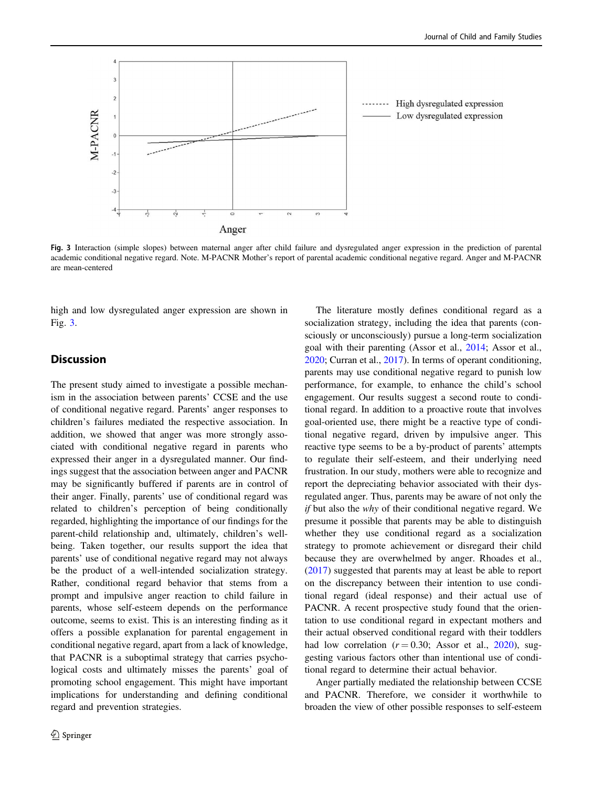

Fig. 3 Interaction (simple slopes) between maternal anger after child failure and dysregulated anger expression in the prediction of parental academic conditional negative regard. Note. M-PACNR Mother's report of parental academic conditional negative regard. Anger and M-PACNR are mean-centered

high and low dysregulated anger expression are shown in Fig. 3.

# **Discussion**

The present study aimed to investigate a possible mechanism in the association between parents' CCSE and the use of conditional negative regard. Parents' anger responses to children's failures mediated the respective association. In addition, we showed that anger was more strongly associated with conditional negative regard in parents who expressed their anger in a dysregulated manner. Our findings suggest that the association between anger and PACNR may be significantly buffered if parents are in control of their anger. Finally, parents' use of conditional regard was related to children's perception of being conditionally regarded, highlighting the importance of our findings for the parent-child relationship and, ultimately, children's wellbeing. Taken together, our results support the idea that parents' use of conditional negative regard may not always be the product of a well-intended socialization strategy. Rather, conditional regard behavior that stems from a prompt and impulsive anger reaction to child failure in parents, whose self-esteem depends on the performance outcome, seems to exist. This is an interesting finding as it offers a possible explanation for parental engagement in conditional negative regard, apart from a lack of knowledge, that PACNR is a suboptimal strategy that carries psychological costs and ultimately misses the parents' goal of promoting school engagement. This might have important implications for understanding and defining conditional regard and prevention strategies.

The literature mostly defines conditional regard as a socialization strategy, including the idea that parents (consciously or unconsciously) pursue a long-term socialization goal with their parenting (Assor et al., [2014;](#page-9-0) Assor et al., [2020](#page-9-0); Curran et al., [2017](#page-9-0)). In terms of operant conditioning, parents may use conditional negative regard to punish low performance, for example, to enhance the child's school engagement. Our results suggest a second route to conditional regard. In addition to a proactive route that involves goal-oriented use, there might be a reactive type of conditional negative regard, driven by impulsive anger. This reactive type seems to be a by-product of parents' attempts to regulate their self-esteem, and their underlying need frustration. In our study, mothers were able to recognize and report the depreciating behavior associated with their dysregulated anger. Thus, parents may be aware of not only the if but also the why of their conditional negative regard. We presume it possible that parents may be able to distinguish whether they use conditional regard as a socialization strategy to promote achievement or disregard their child because they are overwhelmed by anger. Rhoades et al., [\(2017](#page-10-0)) suggested that parents may at least be able to report on the discrepancy between their intention to use conditional regard (ideal response) and their actual use of PACNR. A recent prospective study found that the orientation to use conditional regard in expectant mothers and their actual observed conditional regard with their toddlers had low correlation  $(r = 0.30;$  Assor et al., [2020](#page-9-0)), suggesting various factors other than intentional use of conditional regard to determine their actual behavior.

Anger partially mediated the relationship between CCSE and PACNR. Therefore, we consider it worthwhile to broaden the view of other possible responses to self-esteem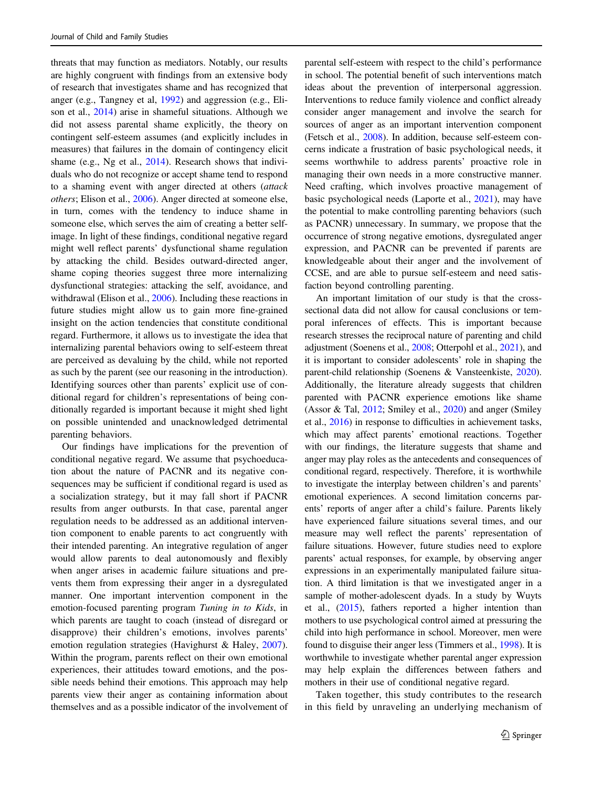threats that may function as mediators. Notably, our results are highly congruent with findings from an extensive body of research that investigates shame and has recognized that anger (e.g., Tangney et al, [1992](#page-11-0)) and aggression (e.g., Elison et al., [2014](#page-10-0)) arise in shameful situations. Although we did not assess parental shame explicitly, the theory on contingent self-esteem assumes (and explicitly includes in measures) that failures in the domain of contingency elicit shame (e.g., Ng et al., [2014](#page-10-0)). Research shows that individuals who do not recognize or accept shame tend to respond to a shaming event with anger directed at others (attack others; Elison et al., [2006\)](#page-10-0). Anger directed at someone else, in turn, comes with the tendency to induce shame in someone else, which serves the aim of creating a better selfimage. In light of these findings, conditional negative regard might well reflect parents' dysfunctional shame regulation by attacking the child. Besides outward-directed anger, shame coping theories suggest three more internalizing dysfunctional strategies: attacking the self, avoidance, and withdrawal (Elison et al., [2006](#page-10-0)). Including these reactions in future studies might allow us to gain more fine-grained insight on the action tendencies that constitute conditional regard. Furthermore, it allows us to investigate the idea that internalizing parental behaviors owing to self-esteem threat are perceived as devaluing by the child, while not reported as such by the parent (see our reasoning in the introduction). Identifying sources other than parents' explicit use of conditional regard for children's representations of being conditionally regarded is important because it might shed light on possible unintended and unacknowledged detrimental parenting behaviors.

Our findings have implications for the prevention of conditional negative regard. We assume that psychoeducation about the nature of PACNR and its negative consequences may be sufficient if conditional regard is used as a socialization strategy, but it may fall short if PACNR results from anger outbursts. In that case, parental anger regulation needs to be addressed as an additional intervention component to enable parents to act congruently with their intended parenting. An integrative regulation of anger would allow parents to deal autonomously and flexibly when anger arises in academic failure situations and prevents them from expressing their anger in a dysregulated manner. One important intervention component in the emotion-focused parenting program Tuning in to Kids, in which parents are taught to coach (instead of disregard or disapprove) their children's emotions, involves parents' emotion regulation strategies (Havighurst & Haley, [2007](#page-10-0)). Within the program, parents reflect on their own emotional experiences, their attitudes toward emotions, and the possible needs behind their emotions. This approach may help parents view their anger as containing information about themselves and as a possible indicator of the involvement of parental self-esteem with respect to the child's performance in school. The potential benefit of such interventions match ideas about the prevention of interpersonal aggression. Interventions to reduce family violence and conflict already consider anger management and involve the search for sources of anger as an important intervention component (Fetsch et al., [2008\)](#page-10-0). In addition, because self-esteem concerns indicate a frustration of basic psychological needs, it seems worthwhile to address parents' proactive role in managing their own needs in a more constructive manner. Need crafting, which involves proactive management of basic psychological needs (Laporte et al., [2021](#page-10-0)), may have the potential to make controlling parenting behaviors (such as PACNR) unnecessary. In summary, we propose that the occurrence of strong negative emotions, dysregulated anger expression, and PACNR can be prevented if parents are knowledgeable about their anger and the involvement of CCSE, and are able to pursue self-esteem and need satisfaction beyond controlling parenting.

An important limitation of our study is that the crosssectional data did not allow for causal conclusions or temporal inferences of effects. This is important because research stresses the reciprocal nature of parenting and child adjustment (Soenens et al., [2008](#page-11-0); Otterpohl et al., [2021\)](#page-10-0), and it is important to consider adolescents' role in shaping the parent-child relationship (Soenens & Vansteenkiste, [2020\)](#page-11-0). Additionally, the literature already suggests that children parented with PACNR experience emotions like shame (Assor & Tal, [2012](#page-9-0); Smiley et al., [2020](#page-11-0)) and anger (Smiley et al., [2016\)](#page-11-0) in response to difficulties in achievement tasks, which may affect parents' emotional reactions. Together with our findings, the literature suggests that shame and anger may play roles as the antecedents and consequences of conditional regard, respectively. Therefore, it is worthwhile to investigate the interplay between children's and parents' emotional experiences. A second limitation concerns parents' reports of anger after a child's failure. Parents likely have experienced failure situations several times, and our measure may well reflect the parents' representation of failure situations. However, future studies need to explore parents' actual responses, for example, by observing anger expressions in an experimentally manipulated failure situation. A third limitation is that we investigated anger in a sample of mother-adolescent dyads. In a study by Wuyts et al., ([2015\)](#page-11-0), fathers reported a higher intention than mothers to use psychological control aimed at pressuring the child into high performance in school. Moreover, men were found to disguise their anger less (Timmers et al., [1998](#page-11-0)). It is worthwhile to investigate whether parental anger expression may help explain the differences between fathers and mothers in their use of conditional negative regard.

Taken together, this study contributes to the research in this field by unraveling an underlying mechanism of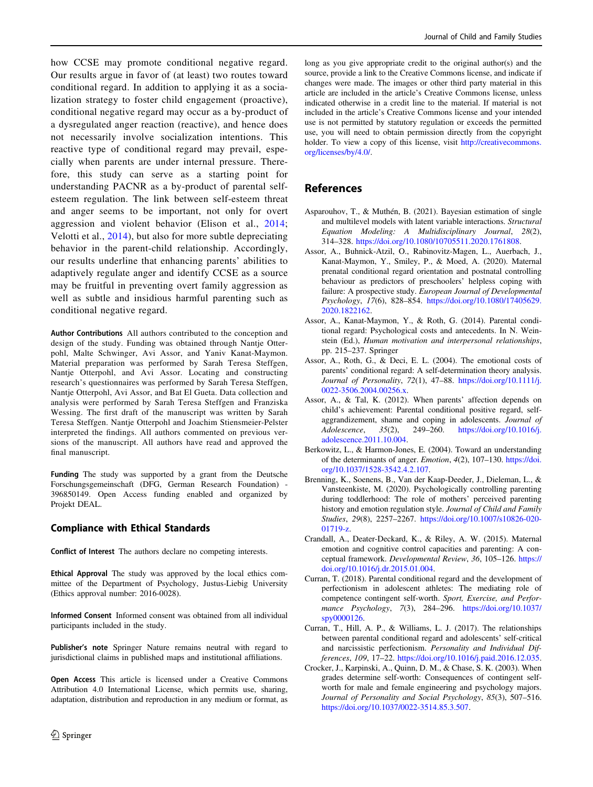<span id="page-9-0"></span>how CCSE may promote conditional negative regard. Our results argue in favor of (at least) two routes toward conditional regard. In addition to applying it as a socialization strategy to foster child engagement (proactive), conditional negative regard may occur as a by-product of a dysregulated anger reaction (reactive), and hence does not necessarily involve socialization intentions. This reactive type of conditional regard may prevail, especially when parents are under internal pressure. Therefore, this study can serve as a starting point for understanding PACNR as a by-product of parental selfesteem regulation. The link between self-esteem threat and anger seems to be important, not only for overt aggression and violent behavior (Elison et al., [2014](#page-10-0); Velotti et al., [2014\)](#page-11-0), but also for more subtle depreciating behavior in the parent-child relationship. Accordingly, our results underline that enhancing parents' abilities to adaptively regulate anger and identify CCSE as a source may be fruitful in preventing overt family aggression as well as subtle and insidious harmful parenting such as conditional negative regard.

Author Contributions All authors contributed to the conception and design of the study. Funding was obtained through Nantje Otterpohl, Malte Schwinger, Avi Assor, and Yaniv Kanat-Maymon. Material preparation was performed by Sarah Teresa Steffgen, Nantje Otterpohl, and Avi Assor. Locating and constructing research's questionnaires was performed by Sarah Teresa Steffgen, Nantje Otterpohl, Avi Assor, and Bat El Gueta. Data collection and analysis were performed by Sarah Teresa Steffgen and Franziska Wessing. The first draft of the manuscript was written by Sarah Teresa Steffgen. Nantje Otterpohl and Joachim Stiensmeier-Pelster interpreted the findings. All authors commented on previous versions of the manuscript. All authors have read and approved the final manuscript.

Funding The study was supported by a grant from the Deutsche Forschungsgemeinschaft (DFG, German Research Foundation) - 396850149. Open Access funding enabled and organized by Projekt DEAL.

## Compliance with Ethical Standards

Conflict of Interest The authors declare no competing interests.

Ethical Approval The study was approved by the local ethics committee of the Department of Psychology, Justus-Liebig University (Ethics approval number: 2016-0028).

Informed Consent Informed consent was obtained from all individual participants included in the study.

Publisher's note Springer Nature remains neutral with regard to jurisdictional claims in published maps and institutional affiliations.

Open Access This article is licensed under a Creative Commons Attribution 4.0 International License, which permits use, sharing, adaptation, distribution and reproduction in any medium or format, as long as you give appropriate credit to the original author(s) and the source, provide a link to the Creative Commons license, and indicate if changes were made. The images or other third party material in this article are included in the article's Creative Commons license, unless indicated otherwise in a credit line to the material. If material is not included in the article's Creative Commons license and your intended use is not permitted by statutory regulation or exceeds the permitted use, you will need to obtain permission directly from the copyright holder. To view a copy of this license, visit [http://creativecommons.](http://creativecommons.org/licenses/by/4.0/) [org/licenses/by/4.0/](http://creativecommons.org/licenses/by/4.0/).

# References

- Asparouhov, T., & Muthén, B. (2021). Bayesian estimation of single and multilevel models with latent variable interactions. Structural Equation Modeling: A Multidisciplinary Journal, 28(2), 314–328. [https://doi.org/10.1080/10705511.2020.1761808.](https://doi.org/10.1080/10705511.2020.1761808)
- Assor, A., Buhnick-Atzil, O., Rabinovitz-Magen, L., Auerbach, J., Kanat-Maymon, Y., Smiley, P., & Moed, A. (2020). Maternal prenatal conditional regard orientation and postnatal controlling behaviour as predictors of preschoolers' helpless coping with failure: A prospective study. European Journal of Developmental Psychology, 17(6), 828–854. [https://doi.org/10.1080/17405629.](https://doi.org/10.1080/17405629.2020.1822162) [2020.1822162.](https://doi.org/10.1080/17405629.2020.1822162)
- Assor, A., Kanat-Maymon, Y., & Roth, G. (2014). Parental conditional regard: Psychological costs and antecedents. In N. Weinstein (Ed.), Human motivation and interpersonal relationships, pp. 215–237. Springer
- Assor, A., Roth, G., & Deci, E. L. (2004). The emotional costs of parents' conditional regard: A self-determination theory analysis. Journal of Personality, 72(1), 47–88. [https://doi.org/10.1111/j.](https://doi.org/10.1111/j.0022-3506.2004.00256.x) [0022-3506.2004.00256.x](https://doi.org/10.1111/j.0022-3506.2004.00256.x).
- Assor, A., & Tal, K. (2012). When parents' affection depends on child's achievement: Parental conditional positive regard, selfaggrandizement, shame and coping in adolescents. Journal of Adolescence, 35(2), 249–260. [https://doi.org/10.1016/j.](https://doi.org/10.1016/j.adolescence.2011.10.004) [adolescence.2011.10.004](https://doi.org/10.1016/j.adolescence.2011.10.004).
- Berkowitz, L., & Harmon-Jones, E. (2004). Toward an understanding of the determinants of anger. Emotion, 4(2), 107–130. [https://doi.](https://doi.org/10.1037/1528-3542.4.2.107) [org/10.1037/1528-3542.4.2.107.](https://doi.org/10.1037/1528-3542.4.2.107)
- Brenning, K., Soenens, B., Van der Kaap-Deeder, J., Dieleman, L., & Vansteenkiste, M. (2020). Psychologically controlling parenting during toddlerhood: The role of mothers' perceived parenting history and emotion regulation style. Journal of Child and Family Studies, 29(8), 2257–2267. [https://doi.org/10.1007/s10826-020-](https://doi.org/10.1007/s10826-020-01719-z) [01719-z.](https://doi.org/10.1007/s10826-020-01719-z)
- Crandall, A., Deater-Deckard, K., & Riley, A. W. (2015). Maternal emotion and cognitive control capacities and parenting: A conceptual framework. Developmental Review, 36, 105–126. [https://](https://doi.org/10.1016/j.dr.2015.01.004) [doi.org/10.1016/j.dr.2015.01.004](https://doi.org/10.1016/j.dr.2015.01.004).
- Curran, T. (2018). Parental conditional regard and the development of perfectionism in adolescent athletes: The mediating role of competence contingent self-worth. Sport, Exercise, and Performance Psychology, 7(3), 284–296. [https://doi.org/10.1037/](https://doi.org/10.1037/spy0000126) [spy0000126.](https://doi.org/10.1037/spy0000126)
- Curran, T., Hill, A. P., & Williams, L. J. (2017). The relationships between parental conditional regard and adolescents' self-critical and narcissistic perfectionism. Personality and Individual Differences, 109, 17–22. <https://doi.org/10.1016/j.paid.2016.12.035>.
- Crocker, J., Karpinski, A., Quinn, D. M., & Chase, S. K. (2003). When grades determine self-worth: Consequences of contingent selfworth for male and female engineering and psychology majors. Journal of Personality and Social Psychology, 85(3), 507–516. [https://doi.org/10.1037/0022-3514.85.3.507.](https://doi.org/10.1037/0022-3514.85.3.507)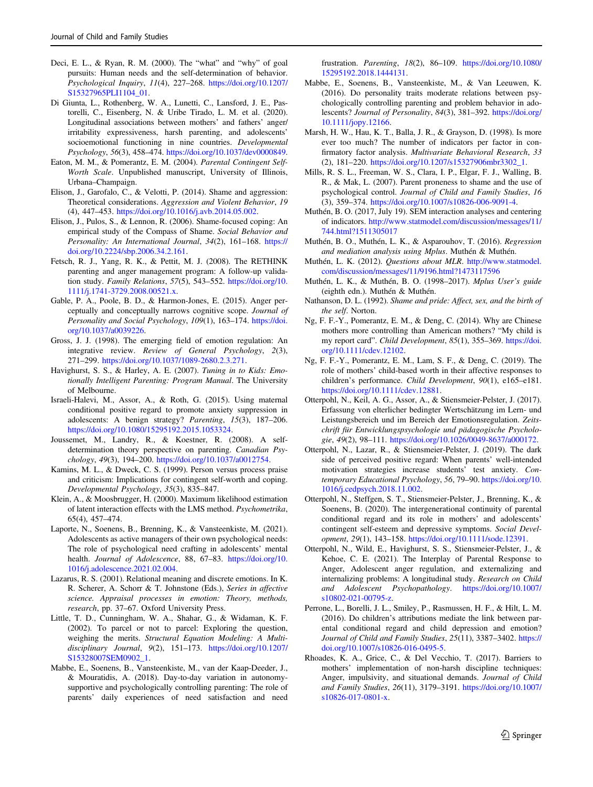- <span id="page-10-0"></span>Deci, E. L., & Ryan, R. M. (2000). The "what" and "why" of goal pursuits: Human needs and the self-determination of behavior. Psychological Inquiry, 11(4), 227–268. [https://doi.org/10.1207/](https://doi.org/10.1207/S15327965PLI1104_01) [S15327965PLI1104\\_01.](https://doi.org/10.1207/S15327965PLI1104_01)
- Di Giunta, L., Rothenberg, W. A., Lunetti, C., Lansford, J. E., Pastorelli, C., Eisenberg, N. & Uribe Tirado, L. M. et al. (2020). Longitudinal associations between mothers' and fathers' anger/ irritability expressiveness, harsh parenting, and adolescents' socioemotional functioning in nine countries. Developmental Psychology, 56(3), 458–474. <https://doi.org/10.1037/dev0000849>.
- Eaton, M. M., & Pomerantz, E. M. (2004). Parental Contingent Self-Worth Scale. Unpublished manuscript, University of Illinois, Urbana–Champaign.
- Elison, J., Garofalo, C., & Velotti, P. (2014). Shame and aggression: Theoretical considerations. Aggression and Violent Behavior, 19 (4), 447–453. [https://doi.org/10.1016/j.avb.2014.05.002.](https://doi.org/10.1016/j.avb.2014.05.002)
- Elison, J., Pulos, S., & Lennon, R. (2006). Shame-focused coping: An empirical study of the Compass of Shame. Social Behavior and Personality: An International Journal, 34(2), 161–168. [https://](https://doi.org/10.2224/sbp.2006.34.2.161) [doi.org/10.2224/sbp.2006.34.2.161.](https://doi.org/10.2224/sbp.2006.34.2.161)
- Fetsch, R. J., Yang, R. K., & Pettit, M. J. (2008). The RETHINK parenting and anger management program: A follow-up validation study. Family Relations, 57(5), 543–552. [https://doi.org/10.](https://doi.org/10.1111/j.1741-3729.2008.00521.x) [1111/j.1741-3729.2008.00521.x.](https://doi.org/10.1111/j.1741-3729.2008.00521.x)
- Gable, P. A., Poole, B. D., & Harmon-Jones, E. (2015). Anger perceptually and conceptually narrows cognitive scope. Journal of Personality and Social Psychology, 109(1), 163–174. [https://doi.](https://doi.org/10.1037/a0039226) [org/10.1037/a0039226.](https://doi.org/10.1037/a0039226)
- Gross, J. J. (1998). The emerging field of emotion regulation: An integrative review. Review of General Psychology, 2(3), 271–299. <https://doi.org/10.1037/1089-2680.2.3.271>.
- Havighurst, S. S., & Harley, A. E. (2007). Tuning in to Kids: Emotionally Intelligent Parenting: Program Manual. The University of Melbourne.
- Israeli-Halevi, M., Assor, A., & Roth, G. (2015). Using maternal conditional positive regard to promote anxiety suppression in adolescents: A benign strategy? Parenting, 15(3), 187–206. <https://doi.org/10.1080/15295192.2015.1053324>.
- Joussemet, M., Landry, R., & Koestner, R. (2008). A selfdetermination theory perspective on parenting. Canadian Psychology, 49(3), 194–200. <https://doi.org/10.1037/a0012754>.
- Kamins, M. L., & Dweck, C. S. (1999). Person versus process praise and criticism: Implications for contingent self-worth and coping. Developmental Psychology, 35(3), 835–847.
- Klein, A., & Moosbrugger, H. (2000). Maximum likelihood estimation of latent interaction effects with the LMS method. Psychometrika, 65(4), 457–474.
- Laporte, N., Soenens, B., Brenning, K., & Vansteenkiste, M. (2021). Adolescents as active managers of their own psychological needs: The role of psychological need crafting in adolescents' mental health. Journal of Adolescence, 88, 67-83. [https://doi.org/10.](https://doi.org/10.1016/j.adolescence.2021.02.004) [1016/j.adolescence.2021.02.004.](https://doi.org/10.1016/j.adolescence.2021.02.004)
- Lazarus, R. S. (2001). Relational meaning and discrete emotions. In K. R. Scherer, A. Schorr & T. Johnstone (Eds.), Series in affective science. Appraisal processes in emotion: Theory, methods, research, pp. 37–67. Oxford University Press.
- Little, T. D., Cunningham, W. A., Shahar, G., & Widaman, K. F. (2002). To parcel or not to parcel: Exploring the question, weighing the merits. Structural Equation Modeling: A Multidisciplinary Journal, 9(2), 151–173. [https://doi.org/10.1207/](https://doi.org/10.1207/S15328007SEM0902_1) [S15328007SEM0902\\_1](https://doi.org/10.1207/S15328007SEM0902_1).
- Mabbe, E., Soenens, B., Vansteenkiste, M., van der Kaap-Deeder, J., & Mouratidis, A. (2018). Day-to-day variation in autonomysupportive and psychologically controlling parenting: The role of parents' daily experiences of need satisfaction and need

frustration. Parenting, 18(2), 86–109. [https://doi.org/10.1080/](https://doi.org/10.1080/15295192.2018.1444131) [15295192.2018.1444131.](https://doi.org/10.1080/15295192.2018.1444131)

- Mabbe, E., Soenens, B., Vansteenkiste, M., & Van Leeuwen, K. (2016). Do personality traits moderate relations between psychologically controlling parenting and problem behavior in adolescents? Journal of Personality, 84(3), 381–392. [https://doi.org/](https://doi.org/10.1111/jopy.12166) [10.1111/jopy.12166](https://doi.org/10.1111/jopy.12166).
- Marsh, H. W., Hau, K. T., Balla, J. R., & Grayson, D. (1998). Is more ever too much? The number of indicators per factor in confirmatory factor analysis. Multivariate Behavioral Research, 33 (2), 181–220. [https://doi.org/10.1207/s15327906mbr3302\\_1.](https://doi.org/10.1207/s15327906mbr3302_1)
- Mills, R. S. L., Freeman, W. S., Clara, I. P., Elgar, F. J., Walling, B. R., & Mak, L. (2007). Parent proneness to shame and the use of psychological control. Journal of Child and Family Studies, 16 (3), 359–374. <https://doi.org/10.1007/s10826-006-9091-4>.
- Muthén, B. O. (2017, July 19). SEM interaction analyses and centering of indicators. [http://www.statmodel.com/discussion/messages/11/](http://www.statmodel.com/discussion/messages/11/744.html?1511305017) [744.html?1511305017](http://www.statmodel.com/discussion/messages/11/744.html?1511305017)
- Muthén, B. O., Muthén, L. K., & Asparouhov, T. (2016). Regression and mediation analysis using Mplus. Muthén & Muthén.
- Muthén, L. K. (2012). Questions about MLR. [http://www.statmodel.](http://www.statmodel.com/discussion/messages/11/9196.html?1473117596) [com/discussion/messages/11/9196.html?1473117596](http://www.statmodel.com/discussion/messages/11/9196.html?1473117596)
- Muthén, L. K., & Muthén, B. O. (1998–2017). Mplus User's guide (eighth edn.). Muthén & Muthén.
- Nathanson, D. L. (1992). Shame and pride: Affect, sex, and the birth of the self. Norton.
- Ng, F. F.-Y., Pomerantz, E. M., & Deng, C. (2014). Why are Chinese mothers more controlling than American mothers? "My child is my report card". Child Development, 85(1), 355–369. [https://doi.](https://doi.org/10.1111/cdev.12102) [org/10.1111/cdev.12102.](https://doi.org/10.1111/cdev.12102)
- Ng, F. F.-Y., Pomerantz, E. M., Lam, S. F., & Deng, C. (2019). The role of mothers' child-based worth in their affective responses to children's performance. Child Development, 90(1), e165–e181. [https://doi.org/10.1111/cdev.12881.](https://doi.org/10.1111/cdev.12881)
- Otterpohl, N., Keil, A. G., Assor, A., & Stiensmeier-Pelster, J. (2017). Erfassung von elterlicher bedingter Wertschätzung im Lern- und Leistungsbereich und im Bereich der Emotionsregulation. Zeitschrift für Entwicklungspsychologie und pädagogische Psychologie, 49(2), 98–111. <https://doi.org/10.1026/0049-8637/a000172>.
- Otterpohl, N., Lazar, R., & Stiensmeier-Pelster, J. (2019). The dark side of perceived positive regard: When parents' well-intended motivation strategies increase students' test anxiety. Contemporary Educational Psychology, 56, 79–90. [https://doi.org/10.](https://doi.org/10.1016/j.cedpsych.2018.11.002) [1016/j.cedpsych.2018.11.002.](https://doi.org/10.1016/j.cedpsych.2018.11.002)
- Otterpohl, N., Steffgen, S. T., Stiensmeier‐Pelster, J., Brenning, K., & Soenens, B. (2020). The intergenerational continuity of parental conditional regard and its role in mothers' and adolescents' contingent self-esteem and depressive symptoms. Social Development, 29(1), 143–158. [https://doi.org/10.1111/sode.12391.](https://doi.org/10.1111/sode.12391)
- Otterpohl, N., Wild, E., Havighurst, S. S., Stiensmeier-Pelster, J., & Kehoe, C. E. (2021). The Interplay of Parental Response to Anger, Adolescent anger regulation, and externalizing and internalizing problems: A longitudinal study. Research on Child and Adolescent Psychopathology. [https://doi.org/10.1007/](https://doi.org/10.1007/s10802-021-00795-z) [s10802-021-00795-z](https://doi.org/10.1007/s10802-021-00795-z).
- Perrone, L., Borelli, J. L., Smiley, P., Rasmussen, H. F., & Hilt, L. M. (2016). Do children's attributions mediate the link between parental conditional regard and child depression and emotion? Journal of Child and Family Studies, 25(11), 3387-3402. [https://](https://doi.org/10.1007/s10826-016-0495-5) [doi.org/10.1007/s10826-016-0495-5.](https://doi.org/10.1007/s10826-016-0495-5)
- Rhoades, K. A., Grice, C., & Del Vecchio, T. (2017). Barriers to mothers' implementation of non-harsh discipline techniques: Anger, impulsivity, and situational demands. Journal of Child and Family Studies, 26(11), 3179–3191. [https://doi.org/10.1007/](https://doi.org/10.1007/s10826-017-0801-x) [s10826-017-0801-x.](https://doi.org/10.1007/s10826-017-0801-x)